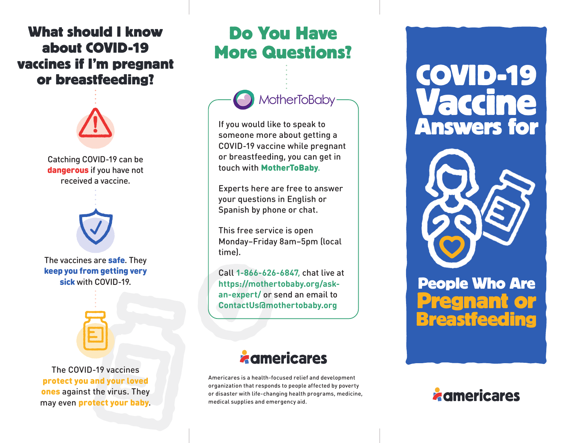### **What should I know about COVID-19 vaccines if I'm pregnant or breastfeeding?**



Catching COVID-19 can be dangerous if you have not received a vaccine.



The vaccines are **safe**. They keep you from getting very sick with COVID-19



The COVID-19 vaccines protect you and your loved ones against the virus. They may even protect your baby.

## **Do You Have More Questions?**



If you would like to speak to someone more about getting a COVID-19 vaccine while pregnant or breastfeeding, you can get in touch with MotherToBaby.

Experts here are free to answer your questions in English or Spanish by phone or chat.

This free service is open Monday–Friday 8am–5pm (local time).

Call **1-866-626-6847**, chat live at **https://mothertobaby.org/askan-expert/** or send an email to **ContactUs@mothertobaby.org**

## *a* americares

Americares is a health-focused relief and development organization that responds to people affected by poverty or disaster with life-changing health programs, medicine, medical supplies and emergency aid.

**COVID-19 Vaccine Answers for**